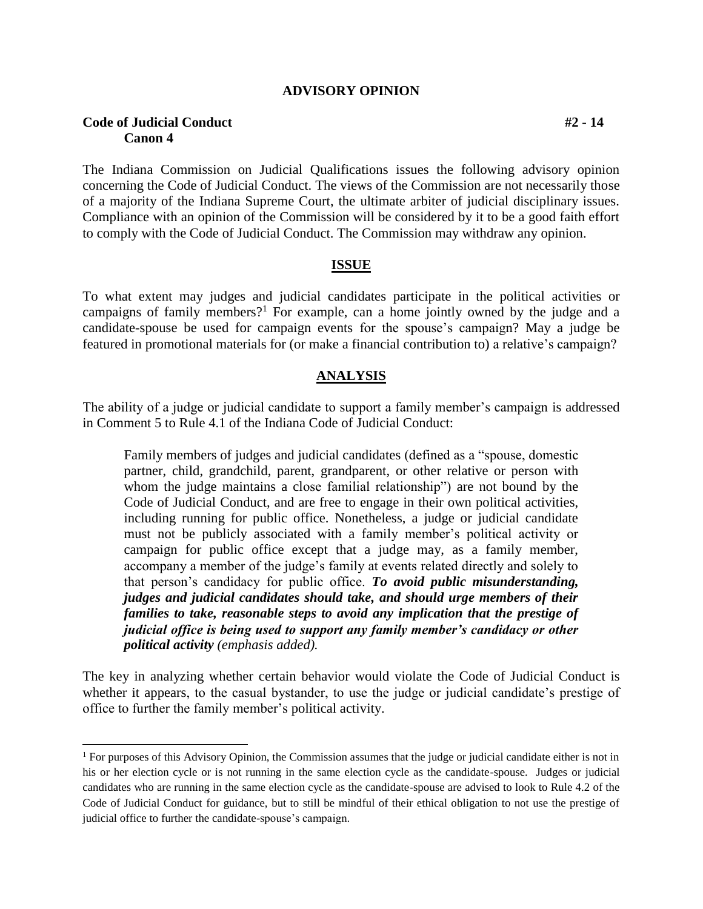### **ADVISORY OPINION**

## **Code of Judicial Conduct #2 - 14 Canon 4**

 $\overline{a}$ 

The Indiana Commission on Judicial Qualifications issues the following advisory opinion concerning the Code of Judicial Conduct. The views of the Commission are not necessarily those of a majority of the Indiana Supreme Court, the ultimate arbiter of judicial disciplinary issues. Compliance with an opinion of the Commission will be considered by it to be a good faith effort to comply with the Code of Judicial Conduct. The Commission may withdraw any opinion.

## **ISSUE**

To what extent may judges and judicial candidates participate in the political activities or campaigns of family members?<sup>1</sup> For example, can a home jointly owned by the judge and a candidate-spouse be used for campaign events for the spouse's campaign? May a judge be featured in promotional materials for (or make a financial contribution to) a relative's campaign?

#### **ANALYSIS**

The ability of a judge or judicial candidate to support a family member's campaign is addressed in Comment 5 to Rule 4.1 of the Indiana Code of Judicial Conduct:

Family members of judges and judicial candidates (defined as a "spouse, domestic partner, child, grandchild, parent, grandparent, or other relative or person with whom the judge maintains a close familial relationship") are not bound by the Code of Judicial Conduct, and are free to engage in their own political activities, including running for public office. Nonetheless, a judge or judicial candidate must not be publicly associated with a family member's political activity or campaign for public office except that a judge may, as a family member, accompany a member of the judge's family at events related directly and solely to that person's candidacy for public office. *To avoid public misunderstanding, judges and judicial candidates should take, and should urge members of their families to take, reasonable steps to avoid any implication that the prestige of judicial office is being used to support any family member's candidacy or other political activity (emphasis added).*

The key in analyzing whether certain behavior would violate the Code of Judicial Conduct is whether it appears, to the casual bystander, to use the judge or judicial candidate's prestige of office to further the family member's political activity.

<sup>&</sup>lt;sup>1</sup> For purposes of this Advisory Opinion, the Commission assumes that the judge or judicial candidate either is not in his or her election cycle or is not running in the same election cycle as the candidate-spouse. Judges or judicial candidates who are running in the same election cycle as the candidate-spouse are advised to look to Rule 4.2 of the Code of Judicial Conduct for guidance, but to still be mindful of their ethical obligation to not use the prestige of judicial office to further the candidate-spouse's campaign.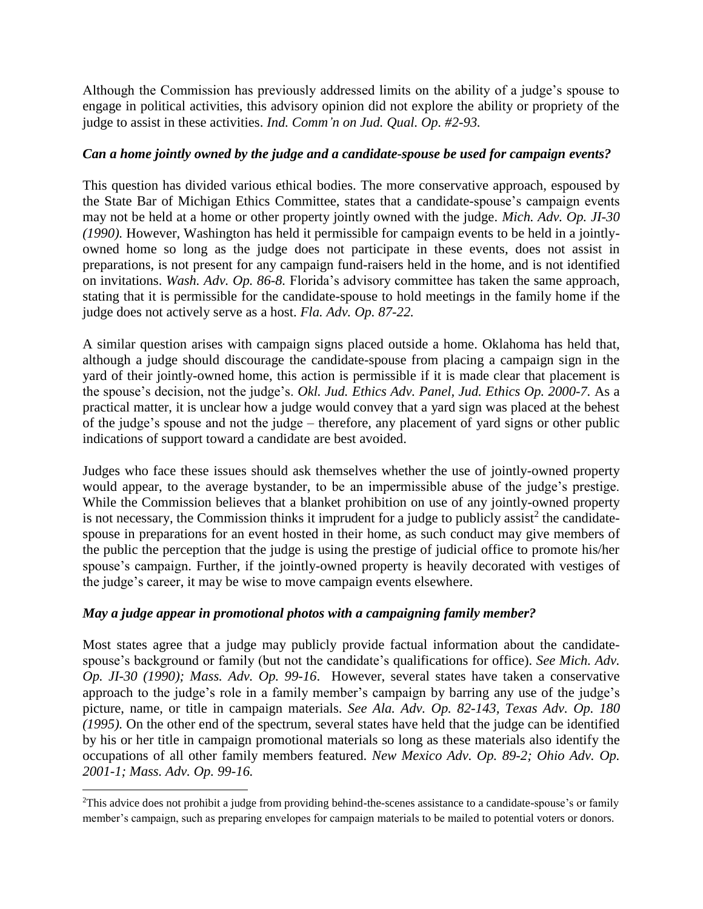Although the Commission has previously addressed limits on the ability of a judge's spouse to engage in political activities, this advisory opinion did not explore the ability or propriety of the judge to assist in these activities. *Ind. Comm'n on Jud. Qual. Op. #2-93.*

# *Can a home jointly owned by the judge and a candidate-spouse be used for campaign events?*

This question has divided various ethical bodies. The more conservative approach, espoused by the State Bar of Michigan Ethics Committee, states that a candidate-spouse's campaign events may not be held at a home or other property jointly owned with the judge. *Mich. Adv. Op. JI-30 (1990).* However, Washington has held it permissible for campaign events to be held in a jointlyowned home so long as the judge does not participate in these events, does not assist in preparations, is not present for any campaign fund-raisers held in the home, and is not identified on invitations. *Wash. Adv. Op. 86-8.* Florida's advisory committee has taken the same approach, stating that it is permissible for the candidate-spouse to hold meetings in the family home if the judge does not actively serve as a host. *Fla. Adv. Op. 87-22.*

A similar question arises with campaign signs placed outside a home. Oklahoma has held that, although a judge should discourage the candidate-spouse from placing a campaign sign in the yard of their jointly-owned home, this action is permissible if it is made clear that placement is the spouse's decision, not the judge's. *Okl. Jud. Ethics Adv. Panel, Jud. Ethics Op. 2000-7.* As a practical matter, it is unclear how a judge would convey that a yard sign was placed at the behest of the judge's spouse and not the judge – therefore, any placement of yard signs or other public indications of support toward a candidate are best avoided.

Judges who face these issues should ask themselves whether the use of jointly-owned property would appear, to the average bystander, to be an impermissible abuse of the judge's prestige. While the Commission believes that a blanket prohibition on use of any jointly-owned property is not necessary, the Commission thinks it imprudent for a judge to publicly assist<sup>2</sup> the candidatespouse in preparations for an event hosted in their home, as such conduct may give members of the public the perception that the judge is using the prestige of judicial office to promote his/her spouse's campaign. Further, if the jointly-owned property is heavily decorated with vestiges of the judge's career, it may be wise to move campaign events elsewhere.

# *May a judge appear in promotional photos with a campaigning family member?*

 $\overline{a}$ 

Most states agree that a judge may publicly provide factual information about the candidatespouse's background or family (but not the candidate's qualifications for office). *See Mich. Adv. Op. JI-30 (1990); Mass. Adv. Op. 99-16*. However, several states have taken a conservative approach to the judge's role in a family member's campaign by barring any use of the judge's picture, name, or title in campaign materials. *See Ala. Adv. Op. 82-143, Texas Adv. Op. 180 (1995).* On the other end of the spectrum, several states have held that the judge can be identified by his or her title in campaign promotional materials so long as these materials also identify the occupations of all other family members featured. *New Mexico Adv. Op. 89-2; Ohio Adv. Op. 2001-1; Mass. Adv. Op. 99-16.*

<sup>2</sup>This advice does not prohibit a judge from providing behind-the-scenes assistance to a candidate-spouse's or family member's campaign, such as preparing envelopes for campaign materials to be mailed to potential voters or donors.